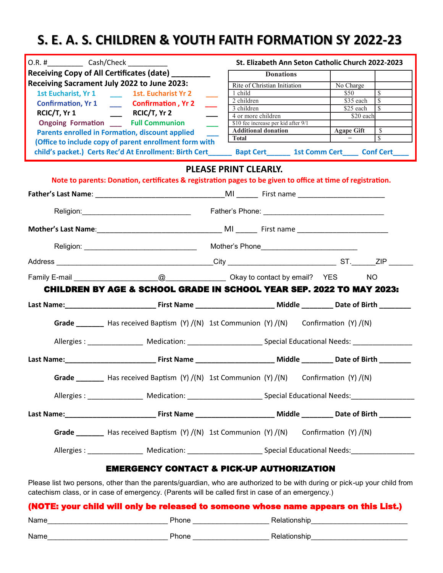## **S. E. A. S. CHILDREN & YOUTH FAITH FORMATION SY 2022-23**

| O.R. # Cash/Check |                                                                                                                                         |                              |                                                                   | St. Elizabeth Ann Seton Catholic Church 2022-2023 |                   |                          |
|-------------------|-----------------------------------------------------------------------------------------------------------------------------------------|------------------------------|-------------------------------------------------------------------|---------------------------------------------------|-------------------|--------------------------|
|                   | Receiving Copy of All Certificates (date) _________                                                                                     |                              | <b>Donations</b>                                                  |                                                   |                   |                          |
|                   | Receiving Sacrament July 2022 to June 2023:                                                                                             |                              | Rite of Christian Initiation                                      |                                                   | No Charge         |                          |
|                   | 1st Eucharist, Yr 1 1st. Eucharist Yr 2                                                                                                 | 1 child                      |                                                                   |                                                   | \$50              | $\overline{\mathcal{S}}$ |
|                   | Confirmation, Yr 1 ________ Confirmation , Yr 2                                                                                         | $\overline{\phantom{a}}$     | $2$ children                                                      |                                                   | \$35 each         | $\mathbb{S}$             |
|                   | RCIC/T, $Yr 1$ RCIC/T, $Yr 2$                                                                                                           | 3 children                   |                                                                   |                                                   | \$25 each         | $\overline{\mathcal{S}}$ |
|                   |                                                                                                                                         |                              | 4 or more children                                                |                                                   | \$20 each         |                          |
|                   | <b>Ongoing Formation Full Communion</b><br><b>Contract Contract</b>                                                                     |                              | \$10 fee increase per kid after 9/1<br><b>Additional donation</b> |                                                   | <b>Agape Gift</b> | $\sqrt{s}$               |
|                   | Parents enrolled in Formation, discount applied                                                                                         | <b>Total</b>                 |                                                                   |                                                   |                   | $\overline{\mathcal{S}}$ |
|                   | (Office to include copy of parent enrollment form with                                                                                  |                              |                                                                   |                                                   |                   |                          |
|                   |                                                                                                                                         |                              |                                                                   |                                                   |                   |                          |
|                   |                                                                                                                                         | <b>PLEASE PRINT CLEARLY.</b> |                                                                   |                                                   |                   |                          |
|                   | Note to parents: Donation, certificates & registration pages to be given to office at time of registration.                             |                              |                                                                   |                                                   |                   |                          |
|                   |                                                                                                                                         |                              |                                                                   |                                                   |                   |                          |
|                   | Religion: 2008. [2013] Trather's Phone: 2008. [2013] Pather's Phone: 2014. [2013] Pather's Phone: 2014. [2013]                          |                              |                                                                   |                                                   |                   |                          |
|                   |                                                                                                                                         |                              |                                                                   |                                                   |                   |                          |
|                   |                                                                                                                                         |                              |                                                                   |                                                   |                   |                          |
|                   |                                                                                                                                         |                              |                                                                   |                                                   |                   |                          |
|                   |                                                                                                                                         |                              |                                                                   |                                                   |                   |                          |
|                   | <b>CHILDREN BY AGE &amp; SCHOOL GRADE IN SCHOOL YEAR SEP. 2022 TO MAY 2023:</b>                                                         |                              |                                                                   |                                                   |                   |                          |
|                   |                                                                                                                                         |                              |                                                                   |                                                   |                   |                          |
|                   | Grade _________ Has received Baptism (Y) /(N) 1st Communion (Y) /(N) Confirmation (Y) /(N)                                              |                              |                                                                   |                                                   |                   |                          |
|                   | Allergies: _________________________Medication: _____________________________Special Educational Needs: _______________________________ |                              |                                                                   |                                                   |                   |                          |
|                   |                                                                                                                                         |                              |                                                                   |                                                   |                   |                          |
| Grade             | Has received Baptism (Y) /(N) 1st Communion (Y) /(N) Confirmation (Y) /(N)                                                              |                              |                                                                   |                                                   |                   |                          |
|                   |                                                                                                                                         |                              |                                                                   |                                                   |                   |                          |
|                   |                                                                                                                                         |                              |                                                                   |                                                   |                   |                          |
|                   | Grade Has received Baptism (Y) /(N) 1st Communion (Y) /(N) Confirmation (Y) /(N)                                                        |                              |                                                                   |                                                   |                   |                          |
|                   |                                                                                                                                         |                              |                                                                   |                                                   |                   |                          |
|                   | <b>EMERGENCY CONTACT &amp; PICK-UP AUTHORIZATION</b>                                                                                    |                              |                                                                   |                                                   |                   |                          |
|                   | Please list two persons, other than the parents/guardian, who are authorized to be with during or pick-up your child from               |                              |                                                                   |                                                   |                   |                          |

catechism class, or in case of emergency. (Parents will be called first in case of an emergency.)

| (NOTE: your child will only be released to someone whose name appears on this List.) |              |              |  |  |  |
|--------------------------------------------------------------------------------------|--------------|--------------|--|--|--|
| Name                                                                                 | <b>Phone</b> | Relationship |  |  |  |
| Name                                                                                 | <b>Phone</b> | Relationship |  |  |  |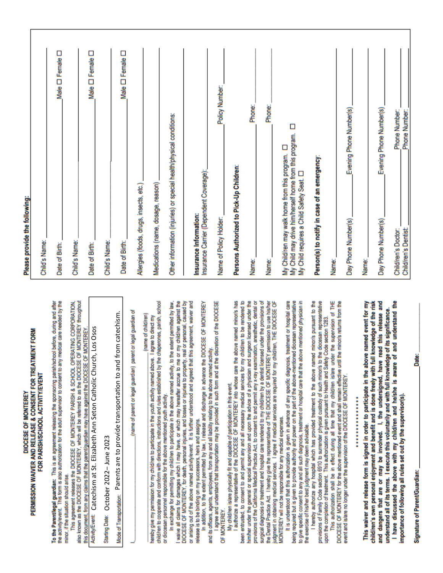PERMISSION WAIVER AND RELEASE & CONSENT FOR TREATMENT FORM FOR PARISH/SCHOOL ACTIVITY/EVENT DIOCESE OF MONTEREY

To the Parent/legal guardian: This is an agreement releasing the sponsoring parish/school before, during and after the activity/event. This form is also authorization for the adult supervisor to consent to any medical care needed by the minor, if the situation should arise.

also known as the DIOCESE OF MONTEREY, which will be referred to as the DIOCESE OF MONTEREY throughout This agreement releases the DIOCESE OF MONTEREY PARISH & SCHOOL OPERATING CORPORATION this document, from any claims that the parent/guardian may have against the DIOCESE OF MONTEREY.

Adivity Frent: Catechism at St. Elizabeth Ann Seton Catholic Church, Los Osos

Starting Date: October 2022-June 2023

Parents are to provide transportation to and from catechism. Mode of Transportation: (name of parent or legal guardian) parent or legal guardian of

child/ren to cooperate and conform with directions, instructions and rules established by the chaperones, parish, school (name of child/ren) hereby give my permission for my child/ren to participate in the youth activity named above. I agree to direct my or diocesan personnel responsible for the above mentioned youth activity. In exchange for permitting my child/ren to participate in the above named activity, to the extent permitted by law, waive all claims for damages which I may have, or which may hereafter accrue to me or my child/ren against the DIOCESE OF MONTEREY, for death, personal injuries, and losses or injuries to property, real or personal, caused by or arising out of the above named activity/event. It is further understood and agreed that this agreement, waiver and release is to be binding on my successors, heirs and assigns.

In addition, to the extent permitted by law, I release and discharge in advance the DIOCESE OF MONTEREY and its officers, agents, employees, from any and all liability relating to the above named activity.

I agree and understand that transportation may be provided in such form and at the discretion of the DIOCESE OF MONTEREY.

My childrien is/are physically fit and capable of participation in this event.<br>I authorize a representative of the DIOCESE OF MONTEREY into whose care the above named minor/s has been entrusted, to consent to and permit any and all necessary medical services for my childrien to be rendered to him/her under the general or special supervision and upon the advice of a physician and surgeon licensed under the provisions of the California Medical Practice Act, to consent to and permit any x-ray examination, anesthetic, dental or surgical diagnosis or treatment and hospital care rendered to my child/ren by a dentist licensed under the provisions of the Dental Practice Act. I hereby give the representative of THE DIOCESE OF MONTEREY permission to use his/her<br>judgment in obtaining medical services. I agree if medical services are required for my children, THE DIOCESE O MONTEREY will not be responsible for any medical expenses.

It is understood that this authorization is given in advance of any specific diagnosis, treatment or hospital care being required but is given to provide authority and power on the part of the above-mentioned dioossan representative to give specific consent to any and all such diagnosis, treatment or hospital care that the above mentioned physician in the exercise of his/her best judgment may deem advisable.

I hereby authorize any hospital which has provided treatment to the above named minor/s pursuant to the provisions of Family Code section 6910 to surrender physical custody of such minor/s to the diocesan representative upon the completion of treatment. This authorization is given pursuant to Health and Safety Code section 1283.

This authorization shall be in effect during all time that my children islare under the supervision of THE DIOCESE OF MONTEREY for the above mentioned event and shall remain effective until the minori's returns from the<br>event and islare no longer under the supervision of the DIOCESE OF MONTEREY.

## \*\*\*\*\*\*\*\*\*\*\*\*\*\*\*

I have discussed the above with my child/ren and he/she is aware of and understand the and dangers that are or may be involved. I, the undersigned, have read this release and This waiver and release form is signed in order to participate in the above named event for my child/ren's own personal enjoyment and benefit and is done freely with full knowledge of the risk understand all of its terms. I execute this voluntarily and with full knowledge of its significance. mportance of following all rules set out by the supervisor(s).

**Signature of Parent/Guardian:** 

Date:

## Please provide the following:

| Child's Name:                                                                                                                                                 |                            |  |
|---------------------------------------------------------------------------------------------------------------------------------------------------------------|----------------------------|--|
| Date of Birth:                                                                                                                                                | Male <sup>D</sup> Female   |  |
| Child's Name:                                                                                                                                                 |                            |  |
| Date of Birth:                                                                                                                                                | Male <sup>D</sup> Female D |  |
| Child's Name:                                                                                                                                                 |                            |  |
| Date of Birth:                                                                                                                                                | Male <sup>D</sup> Female D |  |
| Allergies (foods, drugs, insects, etc.)                                                                                                                       |                            |  |
| Medications (name, dosage, reason)                                                                                                                            |                            |  |
| Other information (injuries) or special health/physical conditions:                                                                                           |                            |  |
| Insurance Carrier (Dependent Coverage):<br>Insurance Information:                                                                                             |                            |  |
| Policy Number:<br>Name of Policy Holder:                                                                                                                      |                            |  |
| Persons Authorized to Pick-Up Children:                                                                                                                       |                            |  |
| Phone:<br>Name:                                                                                                                                               |                            |  |
| Phone:<br>Name:                                                                                                                                               |                            |  |
| Ω<br>My Child may drive him/herself home from this program.<br>Д<br>My Child/ren may walk home from this program.<br>My Child requires a Child Safety Seat. O |                            |  |
| Person(s) to notify in case of an emergency:                                                                                                                  |                            |  |
| Name:                                                                                                                                                         |                            |  |
| Evening Phone Number(s)<br>Day Phone Number(s)                                                                                                                |                            |  |
| Name:                                                                                                                                                         |                            |  |
| Evening Phone Number(s)<br>Day Phone Number(s)                                                                                                                |                            |  |
| Phone Number:<br>Child/ren's Doctor:                                                                                                                          |                            |  |
| Phone Number:<br><b>Child/ren's Dentist:</b>                                                                                                                  |                            |  |